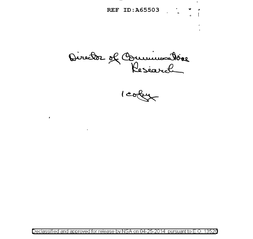REF ID:A65503 . . . . .

 $\sigma$  where we Pesearch

 $\bullet$ 

 $\sim$ 

1 coley

Declassified and approved for release by NSA on 04-25-2014 pursuant to E.O. 13526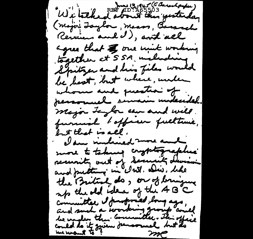June 13, 1945 (a Barandorder) Wilteked about the yesterday (major Laylor, meass, Benevel Review and I), and all agree that the one wint working together at SSA maluding Spitzer and his files would be best, but where, under whom and question of personal simain midendal. major Laglor can and will. furnish tofficer fulltime, but that is all. clam included more and more to taking cryptographie security out of Security During and putting in white . Dis. like the British do, or of bringing up the old idea of the 4B°C Committee I proposed long ago, could do it given demonuel but the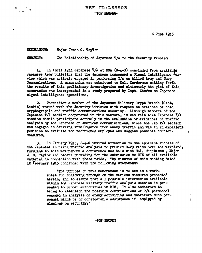6 Jum 1945

 $\mathbf{r}$ 

ł

\$

MEMORANDUM: Major James C. Taylor

SUBJECT: The Relationship of Japanese T/A to the Security Problem

1. In April 1944 Japanese T/A at SSA (B-4-C) concluded from available Japanese Army bulletins that the Japanese possessed a Signal Intelligence Service which was actively engaged in performing T/A on Allied Army- and Navr Communications. A memorandum was submitted to Col. Corderman setting forth the results or this preliminary investigation and ultimately the gist or this memorandum was incorporated in a study-prepared by Capt. Rhoedes on Japanese signal intelligence operations.

2. Thereafter a member or the Japanese Military Crypt Branch (Capt. Raskin) worked with the Security Division with respect to breaches of both cryptographic and traffic communications security. Al though members or the Japanese T/A section cooperated in this venture, it was felt that Japanese  $^{T}/A$ section should participate actively in the evaluation of evidences of traffic analysis by the Japanese on American communications, since the Jap T/A section was engaged in deriving intelligence from enemy traffic and was in an excellent position to evaluate the techniques employed and suggest possible countermeasures.

3. In January 1945, B-4-0 invited attention to the apparent success of the Japanese in using traffic analysis to predict B-29 raids over the mainland. Pursuant to this memorandum a conference was held with Col. Huddleson., Wajor J. C. Taylor and others providing for the submission to MIS of all available material in connection with these raids. The minutes of this meeting dated 10 February 1945 concluded with the following statements

> "The purpose of this memorandum is to act as a worksheet for following through on the various measures presented herein, and to assure that all possible information available within the Japanese military traffic analysis section is presented to proper authorities in MIS. It also endeavors to bring to attention the possible contributions of T/A personnel engaged in analysis of enemy activities and therefore such personnel might be of considerable assistance if emplyyed by missions on security.•

> > TOP SECRET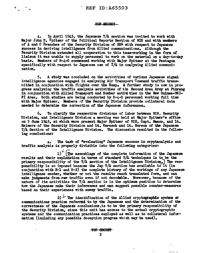$\frac{1}{\pi}$ 

## TOP SECRET

4. In April 1945, the Japanese T/A section was invited to work with Major John D. Spitzer of the Political Reports Section of MIS and with members of A and C Branches of the Security Division of ssA with respect to Japanese success in deriving intelligence from Allied communications. Although the Security Division extended all cooperation to this team-working in the form of liaison it was unable to supply personnel to work on the material on a day-to-day basis. Members or B-4-C commenced working with Major Spitzer at the Pentagon specifically with respect to Japanese use of  $T/A$  in analyzing Allied communication.

5. A study was concluded on the activities of varicos Japanese signal intelligence agencies engaged in analyzing Air Transport Command traffic transmitted in conjunction with flights over the Hump. A further study is now in progress analyzing the traffic analysis activities of the Second Area Army at Pinrang in conjunction with Allied Transport and Bomber activities in the New Guinea-NEI-PI Area. Both studies are being conducted by B-4-C personnel working tull time with Major Spitzer. Members of the Security Division provide collateral data needed to determine the correction or the Japanese inferences.

6. To clarify the respective divisions of labor between MIS. Securiv Division, and Intelligence Division a meeting was held at Major Spitzer1s office on 3 June 1945, at which were present Major Spitzer or MIS, Capt. Maass, and Lt. Beimers or the Security Division and Lt. Barasch and Lt. Burcum of tbe Japanese T/A Section of the Intelligence Division. The discussion resulted in the following conclusions:

a. The task of "evaluating" Japanese success in cryptanalysis and traffic analysis is properly divisible into the following categories:

1)<sup>2</sup> The assemblage of the complete information of the Japanese results and their explanation in terms of standard T/A techniques is to be the primary responsibility of the T/A section of the Intelligence Division. The responsibility is so imposed because the Jap  $T/A$  section has available to it (in conjunction with B-1 and B-2) the complete history of the workings of any Japanese intelligence center, whether or not the results reach translated form, and can make judgments from raw traffic even if not decodable. Moreover, because of' the nature of its activities the T/A seqtion is in the optimum position to determine how the Japanese make their inferences and can suggest possible counter-measures based on their experiences with enemy traffic.

2)  $\sqrt{m}$  The identification of the Allied cryptographic system or communications practice referred to by the Japanese and the determination of the correctness of the Japanese conclusions.is to be the primary responsibility of the Security Division, since this unit has access to the actual cryptographic systems and the communication practices employed as well as to collateral information (including any possible deception program which may be used).